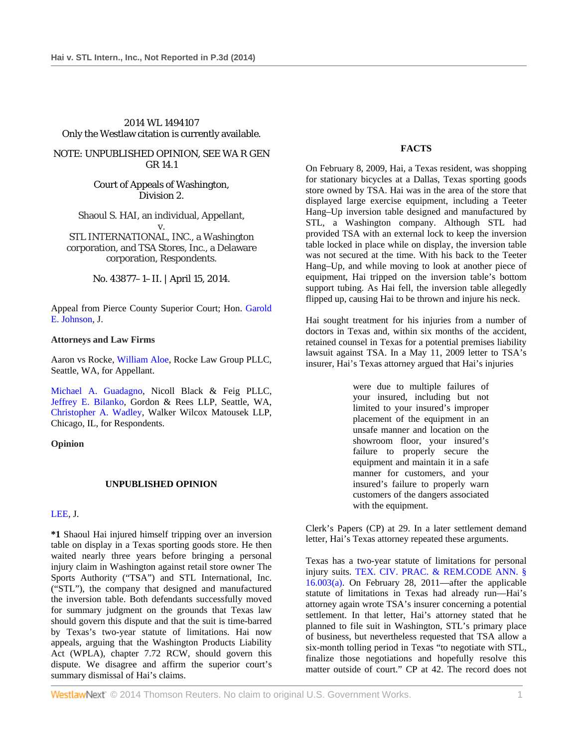# 2014 WL 1494107 Only the Westlaw citation is currently available.

# NOTE: UNPUBLISHED OPINION, SEE WA R GEN GR 14.1

Court of Appeals of Washington, Division 2.

Shaoul S. HAI, an individual, Appellant, v.

STL INTERNATIONAL, INC., a Washington corporation, and TSA Stores, Inc., a Delaware corporation, Respondents.

No. 43877–1–II. | April 15, 2014.

Appeal from Pierce County Superior Court; Hon. Garold E. Johnson, J.

### **Attorneys and Law Firms**

Aaron vs Rocke, William Aloe, Rocke Law Group PLLC, Seattle, WA, for Appellant.

Michael A. Guadagno, Nicoll Black & Feig PLLC, Jeffrey E. Bilanko, Gordon & Rees LLP, Seattle, WA, Christopher A. Wadley, Walker Wilcox Matousek LLP, Chicago, IL, for Respondents.

### **Opinion**

### **UNPUBLISHED OPINION**

### LEE, J.

**\*1** Shaoul Hai injured himself tripping over an inversion table on display in a Texas sporting goods store. He then waited nearly three years before bringing a personal injury claim in Washington against retail store owner The Sports Authority ("TSA") and STL International, Inc. ("STL"), the company that designed and manufactured the inversion table. Both defendants successfully moved for summary judgment on the grounds that Texas law should govern this dispute and that the suit is time-barred by Texas's two-year statute of limitations. Hai now appeals, arguing that the Washington Products Liability Act (WPLA), chapter 7.72 RCW, should govern this dispute. We disagree and affirm the superior court's summary dismissal of Hai's claims.

### **FACTS**

On February 8, 2009, Hai, a Texas resident, was shopping for stationary bicycles at a Dallas, Texas sporting goods store owned by TSA. Hai was in the area of the store that displayed large exercise equipment, including a Teeter Hang–Up inversion table designed and manufactured by STL, a Washington company. Although STL had provided TSA with an external lock to keep the inversion table locked in place while on display, the inversion table was not secured at the time. With his back to the Teeter Hang–Up, and while moving to look at another piece of equipment, Hai tripped on the inversion table's bottom support tubing. As Hai fell, the inversion table allegedly flipped up, causing Hai to be thrown and injure his neck.

Hai sought treatment for his injuries from a number of doctors in Texas and, within six months of the accident, retained counsel in Texas for a potential premises liability lawsuit against TSA. In a May 11, 2009 letter to TSA's insurer, Hai's Texas attorney argued that Hai's injuries

> were due to multiple failures of your insured, including but not limited to your insured's improper placement of the equipment in an unsafe manner and location on the showroom floor, your insured's failure to properly secure the equipment and maintain it in a safe manner for customers, and your insured's failure to properly warn customers of the dangers associated with the equipment.

Clerk's Papers (CP) at 29. In a later settlement demand letter, Hai's Texas attorney repeated these arguments.

Texas has a two-year statute of limitations for personal injury suits. TEX. CIV. PRAC. & REM.CODE ANN. §  $16.003(a)$ . On February 28, 2011—after the applicable statute of limitations in Texas had already run—Hai's attorney again wrote TSA's insurer concerning a potential settlement. In that letter, Hai's attorney stated that he planned to file suit in Washington, STL's primary place of business, but nevertheless requested that TSA allow a six-month tolling period in Texas "to negotiate with STL, finalize those negotiations and hopefully resolve this matter outside of court." CP at 42. The record does not

**WestlawNext** © 2014 Thomson Reuters. No claim to original U.S. Government Works. 1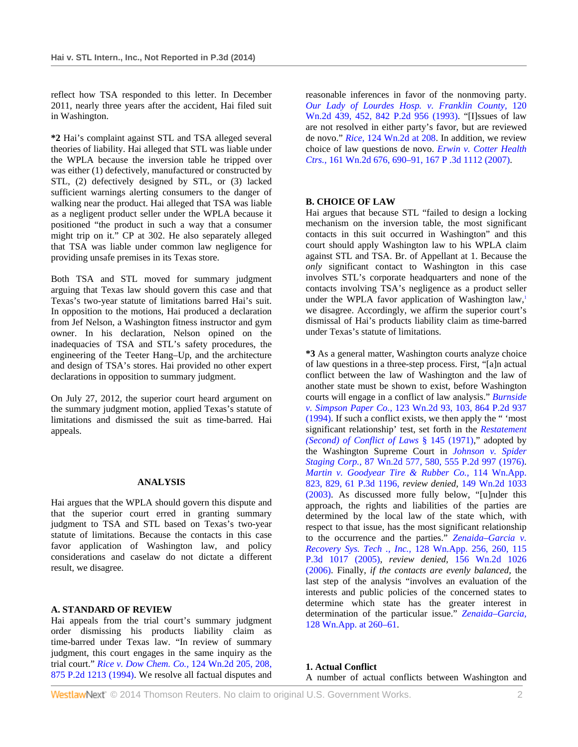reflect how TSA responded to this letter. In December 2011, nearly three years after the accident, Hai filed suit in Washington.

**\*2** Hai's complaint against STL and TSA alleged several theories of liability. Hai alleged that STL was liable under the WPLA because the inversion table he tripped over was either (1) defectively, manufactured or constructed by STL, (2) defectively designed by STL, or (3) lacked sufficient warnings alerting consumers to the danger of walking near the product. Hai alleged that TSA was liable as a negligent product seller under the WPLA because it positioned "the product in such a way that a consumer might trip on it." CP at 302. He also separately alleged that TSA was liable under common law negligence for providing unsafe premises in its Texas store.

Both TSA and STL moved for summary judgment arguing that Texas law should govern this case and that Texas's two-year statute of limitations barred Hai's suit. In opposition to the motions, Hai produced a declaration from Jef Nelson, a Washington fitness instructor and gym owner. In his declaration, Nelson opined on the inadequacies of TSA and STL's safety procedures, the engineering of the Teeter Hang–Up, and the architecture and design of TSA's stores. Hai provided no other expert declarations in opposition to summary judgment.

On July 27, 2012, the superior court heard argument on the summary judgment motion, applied Texas's statute of limitations and dismissed the suit as time-barred. Hai appeals.

# **ANALYSIS**

Hai argues that the WPLA should govern this dispute and that the superior court erred in granting summary judgment to TSA and STL based on Texas's two-year statute of limitations. Because the contacts in this case favor application of Washington law, and policy considerations and caselaw do not dictate a different result, we disagree.

### **A. STANDARD OF REVIEW**

Hai appeals from the trial court's summary judgment order dismissing his products liability claim as time-barred under Texas law. "In review of summary judgment, this court engages in the same inquiry as the trial court." *Rice v. Dow Chem. Co.,* 124 Wn.2d 205, 208, 875 P.2d 1213 (1994). We resolve all factual disputes and

reasonable inferences in favor of the nonmoving party. *Our Lady of Lourdes Hosp. v. Franklin County,* 120 Wn.2d 439, 452, 842 P.2d 956 (1993). "[I]ssues of law are not resolved in either party's favor, but are reviewed de novo." *Rice,* 124 Wn.2d at 208. In addition, we review choice of law questions de novo. *Erwin v. Cotter Health Ctrs.,* 161 Wn.2d 676, 690–91, 167 P .3d 1112 (2007).

### **B. CHOICE OF LAW**

Hai argues that because STL "failed to design a locking mechanism on the inversion table, the most significant contacts in this suit occurred in Washington" and this court should apply Washington law to his WPLA claim against STL and TSA. Br. of Appellant at 1. Because the *only* significant contact to Washington in this case involves STL's corporate headquarters and none of the contacts involving TSA's negligence as a product seller under the WPLA favor application of Washington law,<sup>1</sup> we disagree. Accordingly, we affirm the superior court's dismissal of Hai's products liability claim as time-barred under Texas's statute of limitations.

**\*3** As a general matter, Washington courts analyze choice of law questions in a three-step process. First, "[a]n actual conflict between the law of Washington and the law of another state must be shown to exist, before Washington courts will engage in a conflict of law analysis." *Burnside v. Simpson Paper Co.,* 123 Wn.2d 93, 103, 864 P.2d 937 (1994). If such a conflict exists, we then apply the " 'most significant relationship' test, set forth in the *Restatement (Second) of Conflict of Laws* § 145 (1971)," adopted by the Washington Supreme Court in *Johnson v. Spider Staging Corp.,* 87 Wn.2d 577, 580, 555 P.2d 997 (1976). *Martin v. Goodyear Tire & Rubber Co.,* 114 Wn.App. 823, 829, 61 P.3d 1196, *review denied,* 149 Wn.2d 1033 (2003). As discussed more fully below, "[u]nder this approach, the rights and liabilities of the parties are determined by the local law of the state which, with respect to that issue, has the most significant relationship to the occurrence and the parties." *Zenaida–Garcia v. Recovery Sys. Tech ., Inc.,* 128 Wn.App. 256, 260, 115 P.3d 1017 (2005), *review denied,* 156 Wn.2d 1026 (2006). Finally, *if the contacts are evenly balanced,* the last step of the analysis "involves an evaluation of the interests and public policies of the concerned states to determine which state has the greater interest in determination of the particular issue." *Zenaida–Garcia,* 128 Wn.App. at 260–61.

**1. Actual Conflict**  A number of actual conflicts between Washington and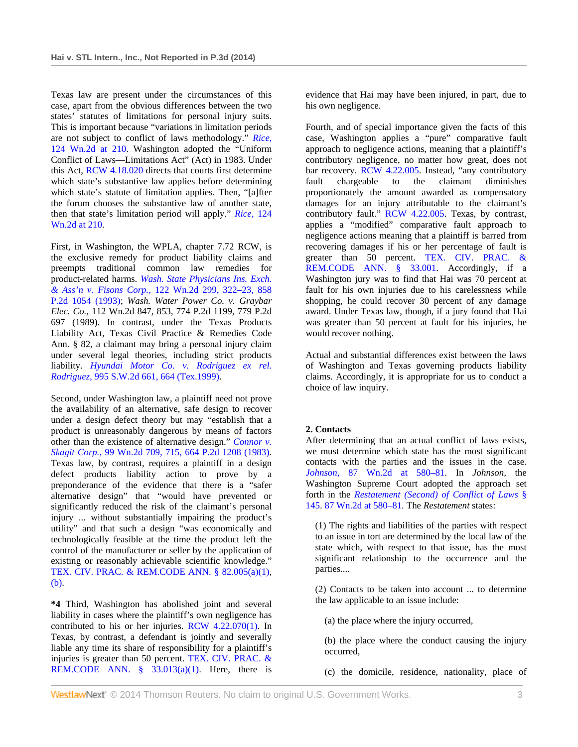Texas law are present under the circumstances of this case, apart from the obvious differences between the two states' statutes of limitations for personal injury suits. This is important because "variations in limitation periods are not subject to conflict of laws methodology." *Rice,* 124 Wn.2d at 210. Washington adopted the "Uniform Conflict of Laws—Limitations Act" (Act) in 1983. Under this Act, RCW 4.18.020 directs that courts first determine which state's substantive law applies before determining which state's statute of limitation applies. Then, "[a]fter the forum chooses the substantive law of another state, then that state's limitation period will apply." *Rice,* 124 Wn.2d at 210.

First, in Washington, the WPLA, chapter 7.72 RCW, is the exclusive remedy for product liability claims and preempts traditional common law remedies for product-related harms. *Wash. State Physicians Ins. Exch. & Ass'n v. Fisons Corp.,* 122 Wn.2d 299, 322–23, 858 P.2d 1054 (1993); *Wash. Water Power Co. v. Graybar Elec. Co.,* 112 Wn.2d 847, 853, 774 P.2d 1199, 779 P.2d 697 (1989). In contrast, under the Texas Products Liability Act, Texas Civil Practice & Remedies Code Ann. § 82, a claimant may bring a personal injury claim under several legal theories, including strict products liability. *Hyundai Motor Co. v. Rodriguez ex rel. Rodriguez,* 995 S.W.2d 661, 664 (Tex.1999).

Second, under Washington law, a plaintiff need not prove the availability of an alternative, safe design to recover under a design defect theory but may "establish that a product is unreasonably dangerous by means of factors other than the existence of alternative design." *Connor v. Skagit Corp.,* 99 Wn.2d 709, 715, 664 P.2d 1208 (1983). Texas law, by contrast, requires a plaintiff in a design defect products liability action to prove by a preponderance of the evidence that there is a "safer alternative design" that "would have prevented or significantly reduced the risk of the claimant's personal injury ... without substantially impairing the product's utility" and that such a design "was economically and technologically feasible at the time the product left the control of the manufacturer or seller by the application of existing or reasonably achievable scientific knowledge." TEX. CIV. PRAC. & REM.CODE ANN. § 82.005(a)(1), (b).

**\*4** Third, Washington has abolished joint and several liability in cases where the plaintiff's own negligence has contributed to his or her injuries. RCW 4.22.070(1). In Texas, by contrast, a defendant is jointly and severally liable any time its share of responsibility for a plaintiff's injuries is greater than 50 percent. TEX. CIV. PRAC. & REM.CODE ANN.  $\S$  33.013(a)(1). Here, there is

evidence that Hai may have been injured, in part, due to his own negligence.

Fourth, and of special importance given the facts of this case, Washington applies a "pure" comparative fault approach to negligence actions, meaning that a plaintiff's contributory negligence, no matter how great, does not bar recovery. RCW 4.22.005. Instead, "any contributory fault chargeable to the claimant diminishes proportionately the amount awarded as compensatory damages for an injury attributable to the claimant's contributory fault." RCW 4.22.005. Texas, by contrast, applies a "modified" comparative fault approach to negligence actions meaning that a plaintiff is barred from recovering damages if his or her percentage of fault is greater than 50 percent. TEX. CIV. PRAC. & REM.CODE ANN. § 33.001. Accordingly, if a Washington jury was to find that Hai was 70 percent at fault for his own injuries due to his carelessness while shopping, he could recover 30 percent of any damage award. Under Texas law, though, if a jury found that Hai was greater than 50 percent at fault for his injuries, he would recover nothing.

Actual and substantial differences exist between the laws of Washington and Texas governing products liability claims. Accordingly, it is appropriate for us to conduct a choice of law inquiry.

# **2. Contacts**

After determining that an actual conflict of laws exists, we must determine which state has the most significant contacts with the parties and the issues in the case. *Johnson,* 87 Wn.2d at 580–81. In *Johnson,* the Washington Supreme Court adopted the approach set forth in the *Restatement (Second) of Conflict of Laws* § 145. 87 Wn.2d at 580–81. The *Restatement* states:

(1) The rights and liabilities of the parties with respect to an issue in tort are determined by the local law of the state which, with respect to that issue, has the most significant relationship to the occurrence and the parties....

(2) Contacts to be taken into account ... to determine the law applicable to an issue include:

(a) the place where the injury occurred,

(b) the place where the conduct causing the injury occurred,

(c) the domicile, residence, nationality, place of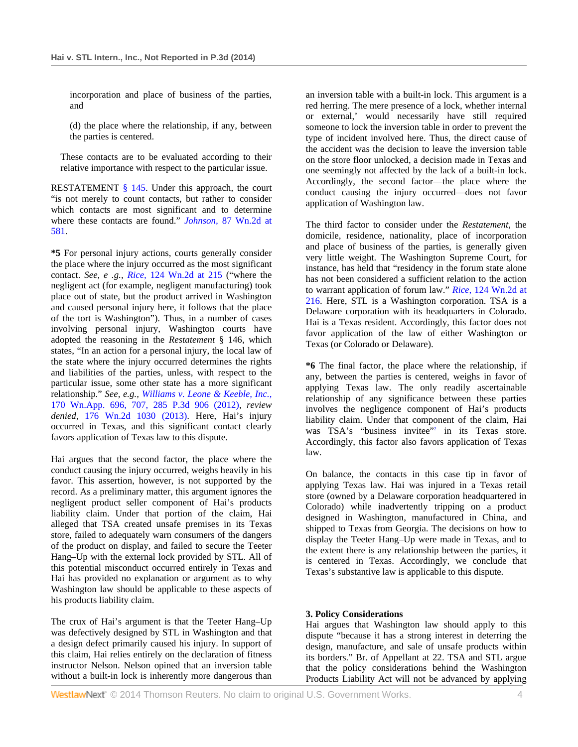incorporation and place of business of the parties, and

(d) the place where the relationship, if any, between the parties is centered.

These contacts are to be evaluated according to their relative importance with respect to the particular issue.

RESTATEMENT § 145. Under this approach, the court "is not merely to count contacts, but rather to consider which contacts are most significant and to determine where these contacts are found." *Johnson,* 87 Wn.2d at 581.

**\*5** For personal injury actions, courts generally consider the place where the injury occurred as the most significant contact. *See, e .g., Rice,* 124 Wn.2d at 215 ("where the negligent act (for example, negligent manufacturing) took place out of state, but the product arrived in Washington and caused personal injury here, it follows that the place of the tort is Washington"). Thus, in a number of cases involving personal injury, Washington courts have adopted the reasoning in the *Restatement* § 146, which states, "In an action for a personal injury, the local law of the state where the injury occurred determines the rights and liabilities of the parties, unless, with respect to the particular issue, some other state has a more significant relationship." *See, e.g., Williams v. Leone & Keeble, Inc.,* 170 Wn.App. 696, 707, 285 P.3d 906 (2012), *review denied,* 176 Wn.2d 1030 (2013). Here, Hai's injury occurred in Texas, and this significant contact clearly favors application of Texas law to this dispute.

Hai argues that the second factor, the place where the conduct causing the injury occurred, weighs heavily in his favor. This assertion, however, is not supported by the record. As a preliminary matter, this argument ignores the negligent product seller component of Hai's products liability claim. Under that portion of the claim, Hai alleged that TSA created unsafe premises in its Texas store, failed to adequately warn consumers of the dangers of the product on display, and failed to secure the Teeter Hang–Up with the external lock provided by STL. All of this potential misconduct occurred entirely in Texas and Hai has provided no explanation or argument as to why Washington law should be applicable to these aspects of his products liability claim.

The crux of Hai's argument is that the Teeter Hang–Up was defectively designed by STL in Washington and that a design defect primarily caused his injury. In support of this claim, Hai relies entirely on the declaration of fitness instructor Nelson. Nelson opined that an inversion table without a built-in lock is inherently more dangerous than an inversion table with a built-in lock. This argument is a red herring. The mere presence of a lock, whether internal or external,' would necessarily have still required someone to lock the inversion table in order to prevent the type of incident involved here. Thus, the direct cause of the accident was the decision to leave the inversion table on the store floor unlocked, a decision made in Texas and one seemingly not affected by the lack of a built-in lock. Accordingly, the second factor—the place where the conduct causing the injury occurred—does not favor application of Washington law.

The third factor to consider under the *Restatement,* the domicile, residence, nationality, place of incorporation and place of business of the parties, is generally given very little weight. The Washington Supreme Court, for instance, has held that "residency in the forum state alone has not been considered a sufficient relation to the action to warrant application of forum law." *Rice,* 124 Wn.2d at 216. Here, STL is a Washington corporation. TSA is a Delaware corporation with its headquarters in Colorado. Hai is a Texas resident. Accordingly, this factor does not favor application of the law of either Washington or Texas (or Colorado or Delaware).

**\*6** The final factor, the place where the relationship, if any, between the parties is centered, weighs in favor of applying Texas law. The only readily ascertainable relationship of any significance between these parties involves the negligence component of Hai's products liability claim. Under that component of the claim, Hai was TSA's "business invitee"<sup>2</sup> in its Texas store. Accordingly, this factor also favors application of Texas law.

On balance, the contacts in this case tip in favor of applying Texas law. Hai was injured in a Texas retail store (owned by a Delaware corporation headquartered in Colorado) while inadvertently tripping on a product designed in Washington, manufactured in China, and shipped to Texas from Georgia. The decisions on how to display the Teeter Hang–Up were made in Texas, and to the extent there is any relationship between the parties, it is centered in Texas. Accordingly, we conclude that Texas's substantive law is applicable to this dispute.

# **3. Policy Considerations**

Hai argues that Washington law should apply to this dispute "because it has a strong interest in deterring the design, manufacture, and sale of unsafe products within its borders." Br. of Appellant at 22. TSA and STL argue that the policy considerations behind the Washington Products Liability Act will not be advanced by applying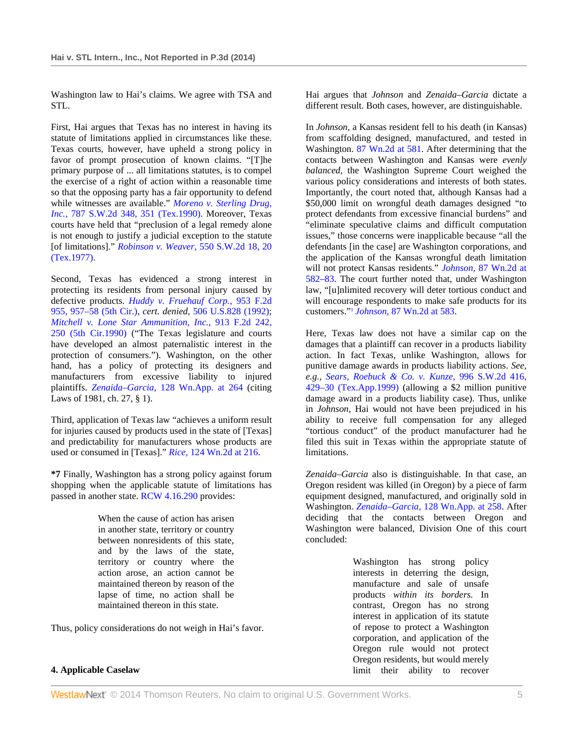Washington law to Hai's claims. We agree with TSA and STL.

First, Hai argues that Texas has no interest in having its statute of limitations applied in circumstances like these. Texas courts, however, have upheld a strong policy in favor of prompt prosecution of known claims. "[T]he primary purpose of ... all limitations statutes, is to compel the exercise of a right of action within a reasonable time so that the opposing party has a fair opportunity to defend while witnesses are available." *Moreno v. Sterling Drug, Inc.,* 787 S.W.2d 348, 351 (Tex.1990). Moreover, Texas courts have held that "preclusion of a legal remedy alone is not enough to justify a judicial exception to the statute [of limitations]." *Robinson v. Weaver,* 550 S.W.2d 18, 20 (Tex.1977).

Second, Texas has evidenced a strong interest in protecting its residents from personal injury caused by defective products. *Huddy v. Fruehauf Corp.,* 953 F.2d 955, 957–58 (5th Cir.), *cert. denied,* 506 U.S.828 (1992); *Mitchell v. Lone Star Ammunition, Inc.,* 913 F.2d 242, 250 (5th Cir.1990) ("The Texas legislature and courts have developed an almost paternalistic interest in the protection of consumers."). Washington, on the other hand, has a policy of protecting its designers and manufacturers from excessive liability to injured plaintiffs. *Zenaida–Garcia,* 128 Wn.App. at 264 (citing Laws of 1981, ch. 27, § 1).

Third, application of Texas law "achieves a uniform result for injuries caused by products used in the state of [Texas] and predictability for manufacturers whose products are used or consumed in [Texas]." *Rice,* 124 Wn.2d at 216.

**\*7** Finally, Washington has a strong policy against forum shopping when the applicable statute of limitations has passed in another state. RCW 4.16.290 provides:

> When the cause of action has arisen in another state, territory or country between nonresidents of this state, and by the laws of the state, territory or country where the action arose, an action cannot be maintained thereon by reason of the lapse of time, no action shall be maintained thereon in this state.

Thus, policy considerations do not weigh in Hai's favor.

Hai argues that *Johnson* and *Zenaida–Garcia* dictate a different result. Both cases, however, are distinguishable.

In *Johnson,* a Kansas resident fell to his death (in Kansas) from scaffolding designed, manufactured, and tested in Washington. 87 Wn.2d at 581. After determining that the contacts between Washington and Kansas were *evenly balanced,* the Washington Supreme Court weighed the various policy considerations and interests of both states. Importantly, the court noted that, although Kansas had a \$50,000 limit on wrongful death damages designed "to protect defendants from excessive financial burdens" and "eliminate speculative claims and difficult computation issues," those concerns were inapplicable because "all the defendants [in the case] are Washington corporations, and the application of the Kansas wrongful death limitation will not protect Kansas residents." *Johnson,* 87 Wn.2d at 582–83. The court further noted that, under Washington law, "[u]nlimited recovery will deter tortious conduct and will encourage respondents to make safe products for its customers."3 *Johnson,* 87 Wn.2d at 583.

Here, Texas law does not have a similar cap on the damages that a plaintiff can recover in a products liability action. In fact Texas, unlike Washington, allows for punitive damage awards in products liability actions. *See, e.g., Sears, Roebuck & Co. v. Kunze,* 996 S.W.2d 416, 429–30 (Tex.App.1999) (allowing a \$2 million punitive damage award in a products liability case). Thus, unlike in *Johnson,* Hai would not have been prejudiced in his ability to receive full compensation for any alleged "tortious conduct" of the product manufacturer had he filed this suit in Texas within the appropriate statute of limitations.

*Zenaida–Garcia* also is distinguishable. In that case, an Oregon resident was killed (in Oregon) by a piece of farm equipment designed, manufactured, and originally sold in Washington. *Zenaida–Garcia,* 128 Wn.App. at 258. After deciding that the contacts between Oregon and Washington were balanced, Division One of this court concluded:

> Washington has strong policy interests in deterring the design, manufacture and sale of unsafe products *within its borders.* In contrast, Oregon has no strong interest in application of its statute of repose to protect a Washington corporation, and application of the Oregon rule would not protect Oregon residents, but would merely limit their ability to recover

# **4. Applicable Caselaw**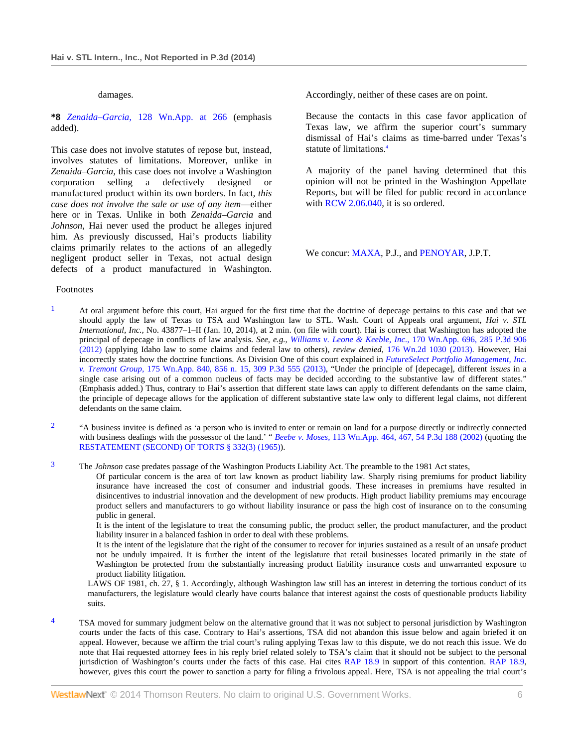#### damages.

**\*8** *Zenaida–Garcia,* 128 Wn.App. at 266 (emphasis added).

This case does not involve statutes of repose but, instead, involves statutes of limitations. Moreover, unlike in *Zenaida–Garcia,* this case does not involve a Washington corporation selling a defectively designed or manufactured product within its own borders. In fact, *this case does not involve the sale or use of any item*—either here or in Texas. Unlike in both *Zenaida–Garcia* and *Johnson,* Hai never used the product he alleges injured him. As previously discussed, Hai's products liability claims primarily relates to the actions of an allegedly negligent product seller in Texas, not actual design defects of a product manufactured in Washington.

Accordingly, neither of these cases are on point.

Because the contacts in this case favor application of Texas law, we affirm the superior court's summary dismissal of Hai's claims as time-barred under Texas's statute of limitations.<sup>4</sup>

A majority of the panel having determined that this opinion will not be printed in the Washington Appellate Reports, but will be filed for public record in accordance with RCW 2.06.040, it is so ordered.

We concur: MAXA, P.J., and PENOYAR, J.P.T.

#### Footnotes

- $1$  At oral argument before this court, Hai argued for the first time that the doctrine of depecage pertains to this case and that we should apply the law of Texas to TSA and Washington law to STL. Wash. Court of Appeals oral argument, *Hai v. STL International, Inc.,* No. 43877–1–II (Jan. 10, 2014), at 2 min. (on file with court). Hai is correct that Washington has adopted the principal of depecage in conflicts of law analysis. *See, e.g., Williams v. Leone & Keeble, Inc.,* 170 Wn.App. 696, 285 P.3d 906 (2012) (applying Idaho law to some claims and federal law to others), *review denied,* 176 Wn.2d 1030 (2013). However, Hai incorrectly states how the doctrine functions. As Division One of this court explained in *FutureSelect Portfolio Management, Inc. v. Tremont Group,* 175 Wn.App. 840, 856 n. 15, 309 P.3d 555 (2013), "Under the principle of [depecage], different *issues* in a single case arising out of a common nucleus of facts may be decided according to the substantive law of different states." (Emphasis added.) Thus, contrary to Hai's assertion that different state laws can apply to different defendants on the same claim, the principle of depecage allows for the application of different substantive state law only to different legal claims, not different defendants on the same claim.
- <sup>2</sup> "A business invitee is defined as 'a person who is invited to enter or remain on land for a purpose directly or indirectly connected with business dealings with the possessor of the land.' " *Beebe v. Moses,* 113 Wn.App. 464, 467, 54 P.3d 188 (2002) (quoting the RESTATEMENT (SECOND) OF TORTS § 332(3) (1965)).
- <sup>3</sup> The *Johnson* case predates passage of the Washington Products Liability Act. The preamble to the 1981 Act states,

Of particular concern is the area of tort law known as product liability law. Sharply rising premiums for product liability insurance have increased the cost of consumer and industrial goods. These increases in premiums have resulted in disincentives to industrial innovation and the development of new products. High product liability premiums may encourage product sellers and manufacturers to go without liability insurance or pass the high cost of insurance on to the consuming public in general.

It is the intent of the legislature to treat the consuming public, the product seller, the product manufacturer, and the product liability insurer in a balanced fashion in order to deal with these problems.

It is the intent of the legislature that the right of the consumer to recover for injuries sustained as a result of an unsafe product not be unduly impaired. It is further the intent of the legislature that retail businesses located primarily in the state of Washington be protected from the substantially increasing product liability insurance costs and unwarranted exposure to product liability litigation.

LAWS OF 1981, ch. 27, § 1. Accordingly, although Washington law still has an interest in deterring the tortious conduct of its manufacturers, the legislature would clearly have courts balance that interest against the costs of questionable products liability suits.

<sup>4</sup> TSA moved for summary judgment below on the alternative ground that it was not subject to personal jurisdiction by Washington courts under the facts of this case. Contrary to Hai's assertions, TSA did not abandon this issue below and again briefed it on appeal. However, because we affirm the trial court's ruling applying Texas law to this dispute, we do not reach this issue. We do note that Hai requested attorney fees in his reply brief related solely to TSA's claim that it should not be subject to the personal jurisdiction of Washington's courts under the facts of this case. Hai cites RAP 18.9 in support of this contention. RAP 18.9, however, gives this court the power to sanction a party for filing a frivolous appeal. Here, TSA is not appealing the trial court's